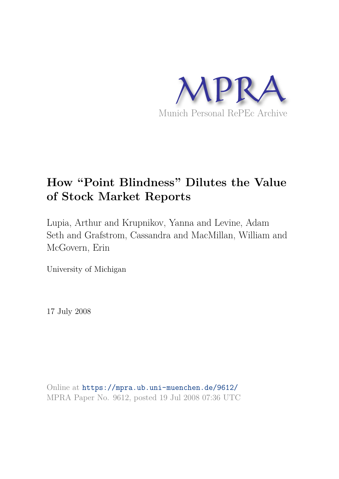

# **How "Point Blindness" Dilutes the Value of Stock Market Reports**

Lupia, Arthur and Krupnikov, Yanna and Levine, Adam Seth and Grafstrom, Cassandra and MacMillan, William and McGovern, Erin

University of Michigan

17 July 2008

Online at https://mpra.ub.uni-muenchen.de/9612/ MPRA Paper No. 9612, posted 19 Jul 2008 07:36 UTC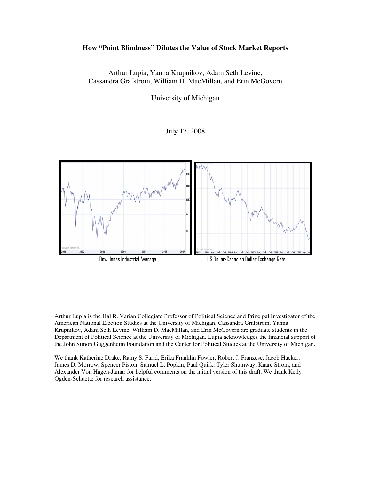## **How "Point Blindness" Dilutes the Value of Stock Market Reports**

Arthur Lupia, Yanna Krupnikov, Adam Seth Levine, Cassandra Grafstrom, William D. MacMillan, and Erin McGovern

University of Michigan

July 17, 2008



Arthur Lupia is the Hal R. Varian Collegiate Professor of Political Science and Principal Investigator of the American National Election Studies at the University of Michigan. Cassandra Grafstrom, Yanna Krupnikov, Adam Seth Levine, William D. MacMillan, and Erin McGovern are graduate students in the Department of Political Science at the University of Michigan. Lupia acknowledges the financial support of the John Simon Guggenheim Foundation and the Center for Political Studies at the University of Michigan.

We thank Katherine Drake, Ramy S. Farid, Erika Franklin Fowler, Robert J. Franzese, Jacob Hacker, James D. Morrow, Spencer Piston, Samuel L. Popkin, Paul Quirk, Tyler Shumway, Kaare Strom, and Alexander Von Hagen-Jamar for helpful comments on the initial version of this draft. We thank Kelly Ogden-Schuette for research assistance.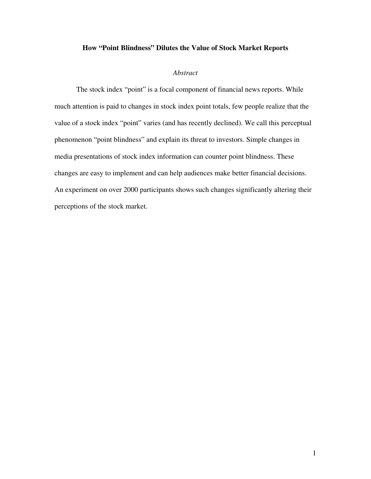## **How "Point Blindness" Dilutes the Value of Stock Market Reports**

## *Abstract*

The stock index "point" is a focal component of financial news reports. While much attention is paid to changes in stock index point totals, few people realize that the value of a stock index "point" varies (and has recently declined). We call this perceptual phenomenon "point blindness" and explain its threat to investors. Simple changes in media presentations of stock index information can counter point blindness. These changes are easy to implement and can help audiences make better financial decisions. An experiment on over 2000 participants shows such changes significantly altering their perceptions of the stock market.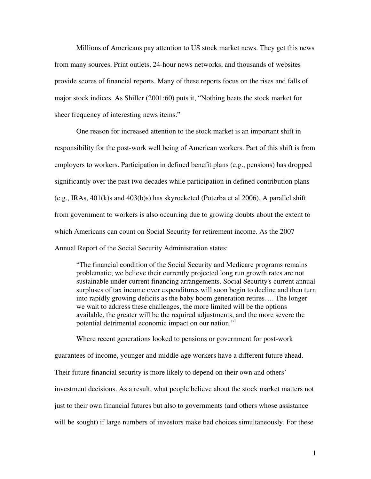Millions of Americans pay attention to US stock market news. They get this news from many sources. Print outlets, 24-hour news networks, and thousands of websites provide scores of financial reports. Many of these reports focus on the rises and falls of major stock indices. As Shiller (2001:60) puts it, "Nothing beats the stock market for sheer frequency of interesting news items."

One reason for increased attention to the stock market is an important shift in responsibility for the post-work well being of American workers. Part of this shift is from employers to workers. Participation in defined benefit plans (e.g., pensions) has dropped significantly over the past two decades while participation in defined contribution plans (e.g., IRAs, 401(k)s and 403(b)s) has skyrocketed (Poterba et al 2006). A parallel shift from government to workers is also occurring due to growing doubts about the extent to which Americans can count on Social Security for retirement income. As the 2007 Annual Report of the Social Security Administration states:

"The financial condition of the Social Security and Medicare programs remains problematic; we believe their currently projected long run growth rates are not sustainable under current financing arrangements. Social Security's current annual surpluses of tax income over expenditures will soon begin to decline and then turn into rapidly growing deficits as the baby boom generation retires…. The longer we wait to address these challenges, the more limited will be the options available, the greater will be the required adjustments, and the more severe the potential detrimental economic impact on our nation."<sup>1</sup>

Where recent generations looked to pensions or government for post-work

guarantees of income, younger and middle-age workers have a different future ahead.

Their future financial security is more likely to depend on their own and others'

investment decisions. As a result, what people believe about the stock market matters not

just to their own financial futures but also to governments (and others whose assistance

will be sought) if large numbers of investors make bad choices simultaneously. For these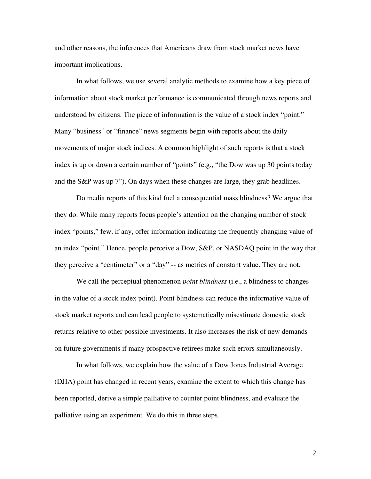and other reasons, the inferences that Americans draw from stock market news have important implications.

In what follows, we use several analytic methods to examine how a key piece of information about stock market performance is communicated through news reports and understood by citizens. The piece of information is the value of a stock index "point." Many "business" or "finance" news segments begin with reports about the daily movements of major stock indices. A common highlight of such reports is that a stock index is up or down a certain number of "points" (e.g., "the Dow was up 30 points today and the S&P was up 7"). On days when these changes are large, they grab headlines.

Do media reports of this kind fuel a consequential mass blindness? We argue that they do. While many reports focus people's attention on the changing number of stock index "points," few, if any, offer information indicating the frequently changing value of an index "point." Hence, people perceive a Dow, S&P, or NASDAQ point in the way that they perceive a "centimeter" or a "day" -- as metrics of constant value. They are not.

We call the perceptual phenomenon *point blindness* (i.e., a blindness to changes in the value of a stock index point). Point blindness can reduce the informative value of stock market reports and can lead people to systematically misestimate domestic stock returns relative to other possible investments. It also increases the risk of new demands on future governments if many prospective retirees make such errors simultaneously.

In what follows, we explain how the value of a Dow Jones Industrial Average (DJIA) point has changed in recent years, examine the extent to which this change has been reported, derive a simple palliative to counter point blindness, and evaluate the palliative using an experiment. We do this in three steps.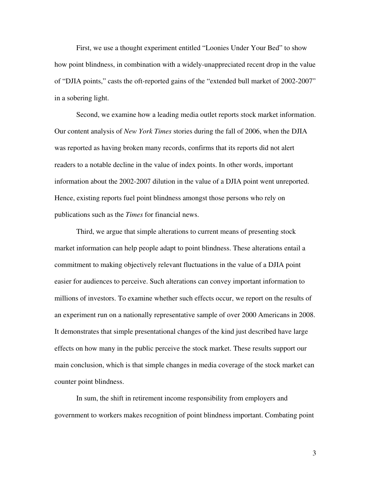First, we use a thought experiment entitled "Loonies Under Your Bed" to show how point blindness, in combination with a widely-unappreciated recent drop in the value of "DJIA points," casts the oft-reported gains of the "extended bull market of 2002-2007" in a sobering light.

Second, we examine how a leading media outlet reports stock market information. Our content analysis of *New York Times* stories during the fall of 2006, when the DJIA was reported as having broken many records, confirms that its reports did not alert readers to a notable decline in the value of index points. In other words, important information about the 2002-2007 dilution in the value of a DJIA point went unreported. Hence, existing reports fuel point blindness amongst those persons who rely on publications such as the *Times* for financial news.

Third, we argue that simple alterations to current means of presenting stock market information can help people adapt to point blindness. These alterations entail a commitment to making objectively relevant fluctuations in the value of a DJIA point easier for audiences to perceive. Such alterations can convey important information to millions of investors. To examine whether such effects occur, we report on the results of an experiment run on a nationally representative sample of over 2000 Americans in 2008. It demonstrates that simple presentational changes of the kind just described have large effects on how many in the public perceive the stock market. These results support our main conclusion, which is that simple changes in media coverage of the stock market can counter point blindness.

In sum, the shift in retirement income responsibility from employers and government to workers makes recognition of point blindness important. Combating point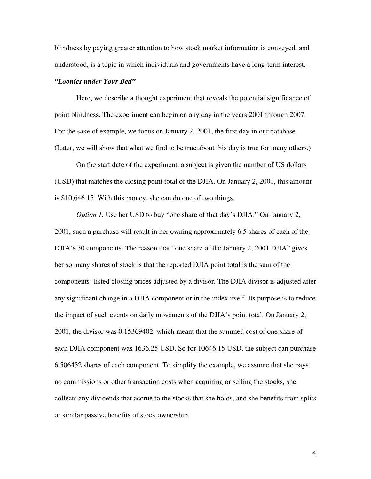blindness by paying greater attention to how stock market information is conveyed, and understood, is a topic in which individuals and governments have a long-term interest.

#### *"Loonies under Your Bed"*

Here, we describe a thought experiment that reveals the potential significance of point blindness. The experiment can begin on any day in the years 2001 through 2007. For the sake of example, we focus on January 2, 2001, the first day in our database. (Later, we will show that what we find to be true about this day is true for many others.)

On the start date of the experiment, a subject is given the number of US dollars (USD) that matches the closing point total of the DJIA. On January 2, 2001, this amount is \$10,646.15. With this money, she can do one of two things.

*Option 1.* Use her USD to buy "one share of that day's DJIA." On January 2, 2001, such a purchase will result in her owning approximately 6.5 shares of each of the DJIA's 30 components. The reason that "one share of the January 2, 2001 DJIA" gives her so many shares of stock is that the reported DJIA point total is the sum of the components' listed closing prices adjusted by a divisor. The DJIA divisor is adjusted after any significant change in a DJIA component or in the index itself. Its purpose is to reduce the impact of such events on daily movements of the DJIA's point total. On January 2, 2001, the divisor was 0.15369402, which meant that the summed cost of one share of each DJIA component was 1636.25 USD. So for 10646.15 USD, the subject can purchase 6.506432 shares of each component. To simplify the example, we assume that she pays no commissions or other transaction costs when acquiring or selling the stocks, she collects any dividends that accrue to the stocks that she holds, and she benefits from splits or similar passive benefits of stock ownership.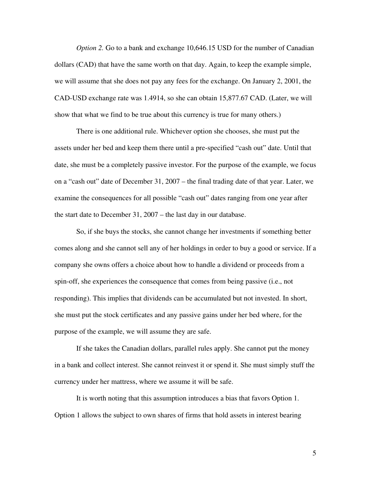*Option 2.* Go to a bank and exchange 10,646.15 USD for the number of Canadian dollars (CAD) that have the same worth on that day. Again, to keep the example simple, we will assume that she does not pay any fees for the exchange. On January 2, 2001, the CAD-USD exchange rate was 1.4914, so she can obtain 15,877.67 CAD. (Later, we will show that what we find to be true about this currency is true for many others.)

There is one additional rule. Whichever option she chooses, she must put the assets under her bed and keep them there until a pre-specified "cash out" date. Until that date, she must be a completely passive investor. For the purpose of the example, we focus on a "cash out" date of December 31, 2007 – the final trading date of that year. Later, we examine the consequences for all possible "cash out" dates ranging from one year after the start date to December 31, 2007 – the last day in our database.

So, if she buys the stocks, she cannot change her investments if something better comes along and she cannot sell any of her holdings in order to buy a good or service. If a company she owns offers a choice about how to handle a dividend or proceeds from a spin-off, she experiences the consequence that comes from being passive (i.e., not responding). This implies that dividends can be accumulated but not invested. In short, she must put the stock certificates and any passive gains under her bed where, for the purpose of the example, we will assume they are safe.

If she takes the Canadian dollars, parallel rules apply. She cannot put the money in a bank and collect interest. She cannot reinvest it or spend it. She must simply stuff the currency under her mattress, where we assume it will be safe.

It is worth noting that this assumption introduces a bias that favors Option 1. Option 1 allows the subject to own shares of firms that hold assets in interest bearing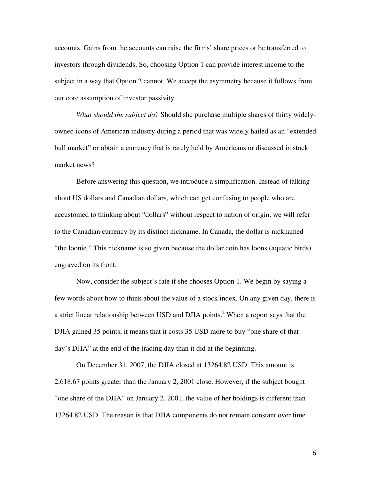accounts. Gains from the accounts can raise the firms' share prices or be transferred to investors through dividends. So, choosing Option 1 can provide interest income to the subject in a way that Option 2 cannot. We accept the asymmetry because it follows from our core assumption of investor passivity.

*What should the subject do?* Should she purchase multiple shares of thirty widelyowned icons of American industry during a period that was widely hailed as an "extended bull market" or obtain a currency that is rarely held by Americans or discussed in stock market news?

Before answering this question, we introduce a simplification. Instead of talking about US dollars and Canadian dollars, which can get confusing to people who are accustomed to thinking about "dollars" without respect to nation of origin, we will refer to the Canadian currency by its distinct nickname. In Canada, the dollar is nicknamed "the loonie." This nickname is so given because the dollar coin has loons (aquatic birds) engraved on its front.

Now, consider the subject's fate if she chooses Option 1. We begin by saying a few words about how to think about the value of a stock index. On any given day, there is a strict linear relationship between USD and DJIA points.<sup>2</sup> When a report says that the DJIA gained 35 points, it means that it costs 35 USD more to buy "one share of that day's DJIA" at the end of the trading day than it did at the beginning.

On December 31, 2007, the DJIA closed at 13264.82 USD. This amount is 2,618.67 points greater than the January 2, 2001 close. However, if the subject bought "one share of the DJIA" on January 2, 2001, the value of her holdings is different than 13264.82 USD. The reason is that DJIA components do not remain constant over time.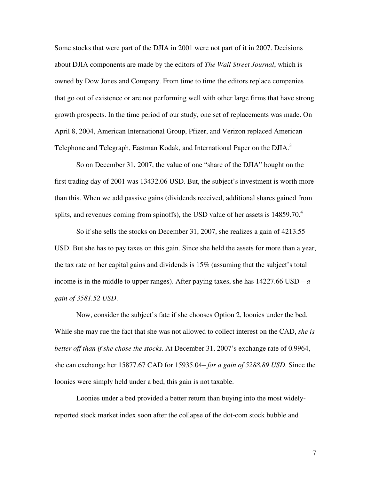Some stocks that were part of the DJIA in 2001 were not part of it in 2007. Decisions about DJIA components are made by the editors of *The Wall Street Journal*, which is owned by Dow Jones and Company. From time to time the editors replace companies that go out of existence or are not performing well with other large firms that have strong growth prospects. In the time period of our study, one set of replacements was made. On April 8, 2004, American International Group, Pfizer, and Verizon replaced American Telephone and Telegraph, Eastman Kodak, and International Paper on the DJIA.<sup>3</sup>

So on December 31, 2007, the value of one "share of the DJIA" bought on the first trading day of 2001 was 13432.06 USD. But, the subject's investment is worth more than this. When we add passive gains (dividends received, additional shares gained from splits, and revenues coming from spinoffs), the USD value of her assets is  $14859.70<sup>4</sup>$ 

So if she sells the stocks on December 31, 2007, she realizes a gain of 4213.55 USD. But she has to pay taxes on this gain. Since she held the assets for more than a year, the tax rate on her capital gains and dividends is 15% (assuming that the subject's total income is in the middle to upper ranges). After paying taxes, she has  $14227.66$  USD –  $a$ *gain of 3581.52 USD*.

Now, consider the subject's fate if she chooses Option 2, loonies under the bed. While she may rue the fact that she was not allowed to collect interest on the CAD, *she is better off than if she chose the stocks*. At December 31, 2007's exchange rate of 0.9964, she can exchange her 15877.67 CAD for 15935.04– *for a gain of 5288.89 USD*. Since the loonies were simply held under a bed, this gain is not taxable.

Loonies under a bed provided a better return than buying into the most widelyreported stock market index soon after the collapse of the dot-com stock bubble and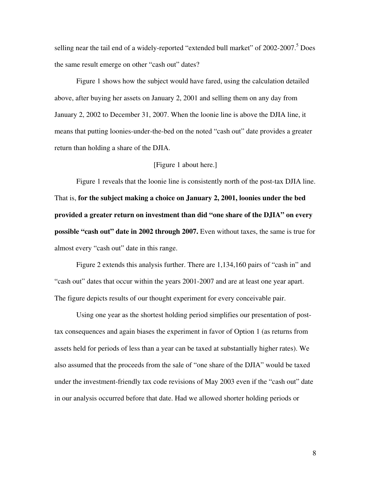selling near the tail end of a widely-reported "extended bull market" of 2002-2007.<sup>5</sup> Does the same result emerge on other "cash out" dates?

Figure 1 shows how the subject would have fared, using the calculation detailed above, after buying her assets on January 2, 2001 and selling them on any day from January 2, 2002 to December 31, 2007. When the loonie line is above the DJIA line, it means that putting loonies-under-the-bed on the noted "cash out" date provides a greater return than holding a share of the DJIA.

#### [Figure 1 about here.]

Figure 1 reveals that the loonie line is consistently north of the post-tax DJIA line. That is, **for the subject making a choice on January 2, 2001, loonies under the bed provided a greater return on investment than did "one share of the DJIA" on every possible "cash out" date in 2002 through 2007.** Even without taxes, the same is true for almost every "cash out" date in this range.

Figure 2 extends this analysis further. There are 1,134,160 pairs of "cash in" and "cash out" dates that occur within the years 2001-2007 and are at least one year apart. The figure depicts results of our thought experiment for every conceivable pair.

Using one year as the shortest holding period simplifies our presentation of posttax consequences and again biases the experiment in favor of Option 1 (as returns from assets held for periods of less than a year can be taxed at substantially higher rates). We also assumed that the proceeds from the sale of "one share of the DJIA" would be taxed under the investment-friendly tax code revisions of May 2003 even if the "cash out" date in our analysis occurred before that date. Had we allowed shorter holding periods or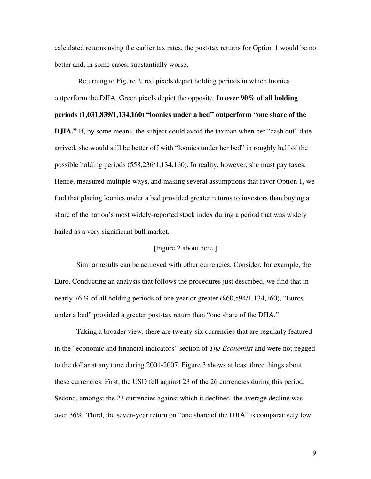calculated returns using the earlier tax rates, the post-tax returns for Option 1 would be no better and, in some cases, substantially worse.

 Returning to Figure 2, red pixels depict holding periods in which loonies outperform the DJIA. Green pixels depict the opposite. **In over 90% of all holding periods (1,031,839/1,134,160) "loonies under a bed" outperform "one share of the DJIA.**" If, by some means, the subject could avoid the taxman when her "cash out" date arrived, she would still be better off with "loonies under her bed" in roughly half of the possible holding periods (558,236/1,134,160). In reality, however, she must pay taxes. Hence, measured multiple ways, and making several assumptions that favor Option 1, we find that placing loonies under a bed provided greater returns to investors than buying a share of the nation's most widely-reported stock index during a period that was widely hailed as a very significant bull market.

# [Figure 2 about here.]

Similar results can be achieved with other currencies. Consider, for example, the Euro. Conducting an analysis that follows the procedures just described, we find that in nearly 76 % of all holding periods of one year or greater (860,594/1,134,160), "Euros under a bed" provided a greater post-tax return than "one share of the DJIA."

Taking a broader view, there are twenty-six currencies that are regularly featured in the "economic and financial indicators" section of *The Economist* and were not pegged to the dollar at any time during 2001-2007. Figure 3 shows at least three things about these currencies. First, the USD fell against 23 of the 26 currencies during this period. Second, amongst the 23 currencies against which it declined, the average decline was over 36%. Third, the seven-year return on "one share of the DJIA" is comparatively low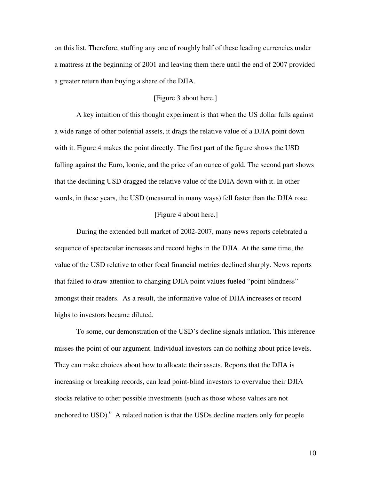on this list. Therefore, stuffing any one of roughly half of these leading currencies under a mattress at the beginning of 2001 and leaving them there until the end of 2007 provided a greater return than buying a share of the DJIA.

# [Figure 3 about here.]

A key intuition of this thought experiment is that when the US dollar falls against a wide range of other potential assets, it drags the relative value of a DJIA point down with it. Figure 4 makes the point directly. The first part of the figure shows the USD falling against the Euro, loonie, and the price of an ounce of gold. The second part shows that the declining USD dragged the relative value of the DJIA down with it. In other words, in these years, the USD (measured in many ways) fell faster than the DJIA rose.

#### [Figure 4 about here.]

During the extended bull market of 2002-2007, many news reports celebrated a sequence of spectacular increases and record highs in the DJIA. At the same time, the value of the USD relative to other focal financial metrics declined sharply. News reports that failed to draw attention to changing DJIA point values fueled "point blindness" amongst their readers. As a result, the informative value of DJIA increases or record highs to investors became diluted.

To some, our demonstration of the USD's decline signals inflation. This inference misses the point of our argument. Individual investors can do nothing about price levels. They can make choices about how to allocate their assets. Reports that the DJIA is increasing or breaking records, can lead point-blind investors to overvalue their DJIA stocks relative to other possible investments (such as those whose values are not anchored to USD). $<sup>6</sup>$  A related notion is that the USDs decline matters only for people</sup>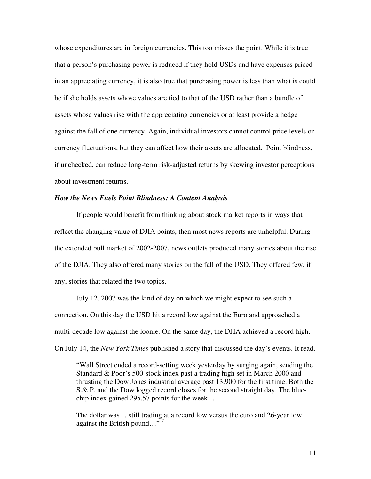whose expenditures are in foreign currencies. This too misses the point. While it is true that a person's purchasing power is reduced if they hold USDs and have expenses priced in an appreciating currency, it is also true that purchasing power is less than what is could be if she holds assets whose values are tied to that of the USD rather than a bundle of assets whose values rise with the appreciating currencies or at least provide a hedge against the fall of one currency. Again, individual investors cannot control price levels or currency fluctuations, but they can affect how their assets are allocated. Point blindness, if unchecked, can reduce long-term risk-adjusted returns by skewing investor perceptions about investment returns.

#### *How the News Fuels Point Blindness: A Content Analysis*

If people would benefit from thinking about stock market reports in ways that reflect the changing value of DJIA points, then most news reports are unhelpful. During the extended bull market of 2002-2007, news outlets produced many stories about the rise of the DJIA. They also offered many stories on the fall of the USD. They offered few, if any, stories that related the two topics.

July 12, 2007 was the kind of day on which we might expect to see such a connection. On this day the USD hit a record low against the Euro and approached a multi-decade low against the loonie. On the same day, the DJIA achieved a record high. On July 14, the *New York Times* published a story that discussed the day's events. It read,

"Wall Street ended a record-setting week yesterday by surging again, sending the Standard & Poor's 500-stock index past a trading high set in March 2000 and thrusting the Dow Jones industrial average past 13,900 for the first time. Both the S.& P. and the Dow logged record closes for the second straight day. The bluechip index gained 295.57 points for the week…

The dollar was… still trading at a record low versus the euro and 26-year low against the British pound..." $\frac{1}{7}$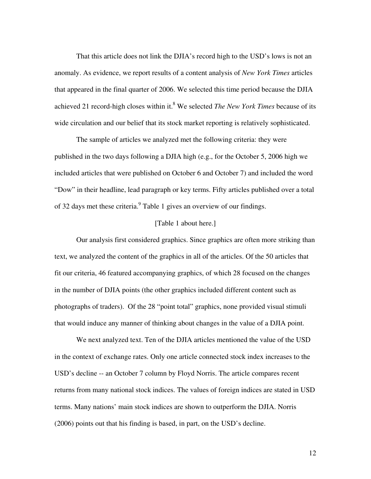That this article does not link the DJIA's record high to the USD's lows is not an anomaly. As evidence, we report results of a content analysis of *New York Times* articles that appeared in the final quarter of 2006. We selected this time period because the DJIA achieved 21 record-high closes within it.<sup>8</sup> We selected *The New York Times* because of its wide circulation and our belief that its stock market reporting is relatively sophisticated.

The sample of articles we analyzed met the following criteria: they were published in the two days following a DJIA high (e.g., for the October 5, 2006 high we included articles that were published on October 6 and October 7) and included the word "Dow" in their headline, lead paragraph or key terms. Fifty articles published over a total of 32 days met these criteria. $^{9}$  Table 1 gives an overview of our findings.

# [Table 1 about here.]

Our analysis first considered graphics. Since graphics are often more striking than text, we analyzed the content of the graphics in all of the articles. Of the 50 articles that fit our criteria, 46 featured accompanying graphics, of which 28 focused on the changes in the number of DJIA points (the other graphics included different content such as photographs of traders). Of the 28 "point total" graphics, none provided visual stimuli that would induce any manner of thinking about changes in the value of a DJIA point.

We next analyzed text. Ten of the DJIA articles mentioned the value of the USD in the context of exchange rates. Only one article connected stock index increases to the USD's decline -- an October 7 column by Floyd Norris. The article compares recent returns from many national stock indices. The values of foreign indices are stated in USD terms. Many nations' main stock indices are shown to outperform the DJIA. Norris (2006) points out that his finding is based, in part, on the USD's decline.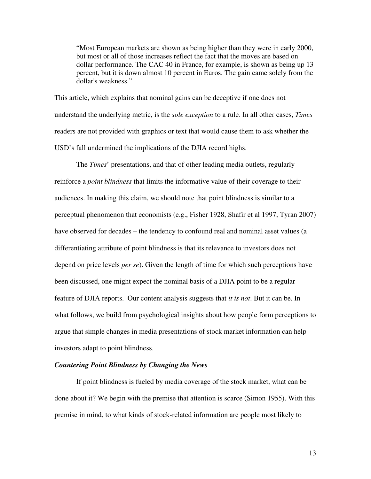"Most European markets are shown as being higher than they were in early 2000, but most or all of those increases reflect the fact that the moves are based on dollar performance. The CAC 40 in France, for example, is shown as being up 13 percent, but it is down almost 10 percent in Euros. The gain came solely from the dollar's weakness."

This article, which explains that nominal gains can be deceptive if one does not understand the underlying metric, is the *sole exception* to a rule. In all other cases, *Times* readers are not provided with graphics or text that would cause them to ask whether the USD's fall undermined the implications of the DJIA record highs.

The *Times*' presentations, and that of other leading media outlets, regularly reinforce a *point blindness* that limits the informative value of their coverage to their audiences. In making this claim, we should note that point blindness is similar to a perceptual phenomenon that economists (e.g., Fisher 1928, Shafir et al 1997, Tyran 2007) have observed for decades – the tendency to confound real and nominal asset values (a differentiating attribute of point blindness is that its relevance to investors does not depend on price levels *per se*). Given the length of time for which such perceptions have been discussed, one might expect the nominal basis of a DJIA point to be a regular feature of DJIA reports. Our content analysis suggests that *it is not*. But it can be. In what follows, we build from psychological insights about how people form perceptions to argue that simple changes in media presentations of stock market information can help investors adapt to point blindness.

# *Countering Point Blindness by Changing the News*

If point blindness is fueled by media coverage of the stock market, what can be done about it? We begin with the premise that attention is scarce (Simon 1955). With this premise in mind, to what kinds of stock-related information are people most likely to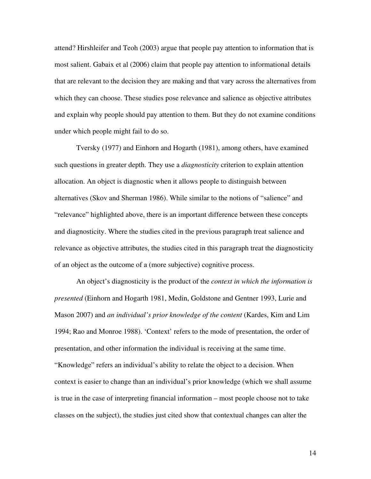attend? Hirshleifer and Teoh (2003) argue that people pay attention to information that is most salient. Gabaix et al (2006) claim that people pay attention to informational details that are relevant to the decision they are making and that vary across the alternatives from which they can choose. These studies pose relevance and salience as objective attributes and explain why people should pay attention to them. But they do not examine conditions under which people might fail to do so.

Tversky (1977) and Einhorn and Hogarth (1981), among others, have examined such questions in greater depth. They use a *diagnosticity* criterion to explain attention allocation. An object is diagnostic when it allows people to distinguish between alternatives (Skov and Sherman 1986). While similar to the notions of "salience" and "relevance" highlighted above, there is an important difference between these concepts and diagnosticity. Where the studies cited in the previous paragraph treat salience and relevance as objective attributes, the studies cited in this paragraph treat the diagnosticity of an object as the outcome of a (more subjective) cognitive process.

An object's diagnosticity is the product of the *context in which the information is presented* (Einhorn and Hogarth 1981, Medin, Goldstone and Gentner 1993, Lurie and Mason 2007) and *an individual's prior knowledge of the content* (Kardes, Kim and Lim 1994; Rao and Monroe 1988). 'Context' refers to the mode of presentation, the order of presentation, and other information the individual is receiving at the same time. "Knowledge" refers an individual's ability to relate the object to a decision. When context is easier to change than an individual's prior knowledge (which we shall assume is true in the case of interpreting financial information – most people choose not to take classes on the subject), the studies just cited show that contextual changes can alter the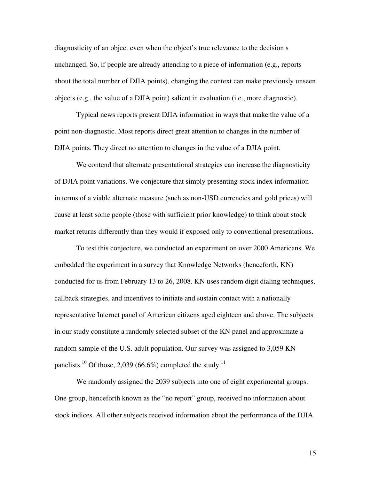diagnosticity of an object even when the object's true relevance to the decision s unchanged. So, if people are already attending to a piece of information (e.g., reports about the total number of DJIA points), changing the context can make previously unseen objects (e.g., the value of a DJIA point) salient in evaluation (i.e., more diagnostic).

Typical news reports present DJIA information in ways that make the value of a point non-diagnostic. Most reports direct great attention to changes in the number of DJIA points. They direct no attention to changes in the value of a DJIA point.

We contend that alternate presentational strategies can increase the diagnosticity of DJIA point variations. We conjecture that simply presenting stock index information in terms of a viable alternate measure (such as non-USD currencies and gold prices) will cause at least some people (those with sufficient prior knowledge) to think about stock market returns differently than they would if exposed only to conventional presentations.

To test this conjecture, we conducted an experiment on over 2000 Americans. We embedded the experiment in a survey that Knowledge Networks (henceforth, KN) conducted for us from February 13 to 26, 2008. KN uses random digit dialing techniques, callback strategies, and incentives to initiate and sustain contact with a nationally representative Internet panel of American citizens aged eighteen and above. The subjects in our study constitute a randomly selected subset of the KN panel and approximate a random sample of the U.S. adult population. Our survey was assigned to 3,059 KN panelists.<sup>10</sup> Of those, 2,039 (66.6%) completed the study.<sup>11</sup>

We randomly assigned the 2039 subjects into one of eight experimental groups. One group, henceforth known as the "no report" group, received no information about stock indices. All other subjects received information about the performance of the DJIA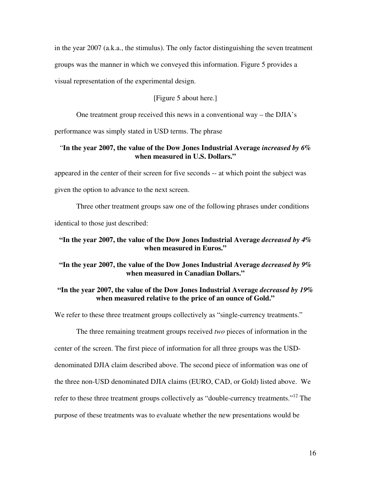in the year 2007 (a.k.a., the stimulus). The only factor distinguishing the seven treatment groups was the manner in which we conveyed this information. Figure 5 provides a visual representation of the experimental design.

# [Figure 5 about here.]

One treatment group received this news in a conventional way – the DJIA's

performance was simply stated in USD terms. The phrase

# "**In the year 2007, the value of the Dow Jones Industrial Average** *increased by 6%* **when measured in U.S. Dollars."**

appeared in the center of their screen for five seconds -- at which point the subject was given the option to advance to the next screen.

Three other treatment groups saw one of the following phrases under conditions identical to those just described:

# **"In the year 2007, the value of the Dow Jones Industrial Average** *decreased by 4%* **when measured in Euros."**

# **"In the year 2007, the value of the Dow Jones Industrial Average** *decreased by 9%* **when measured in Canadian Dollars."**

# **"In the year 2007, the value of the Dow Jones Industrial Average** *decreased by 19%*  **when measured relative to the price of an ounce of Gold."**

We refer to these three treatment groups collectively as "single-currency treatments."

The three remaining treatment groups received *two* pieces of information in the center of the screen. The first piece of information for all three groups was the USDdenominated DJIA claim described above. The second piece of information was one of the three non-USD denominated DJIA claims (EURO, CAD, or Gold) listed above. We refer to these three treatment groups collectively as "double-currency treatments."<sup>12</sup> The purpose of these treatments was to evaluate whether the new presentations would be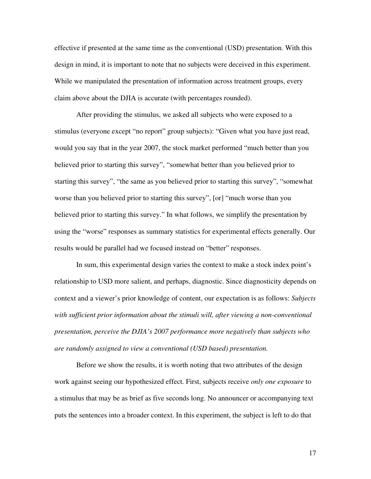effective if presented at the same time as the conventional (USD) presentation. With this design in mind, it is important to note that no subjects were deceived in this experiment. While we manipulated the presentation of information across treatment groups, every claim above about the DJIA is accurate (with percentages rounded).

After providing the stimulus, we asked all subjects who were exposed to a stimulus (everyone except "no report" group subjects): "Given what you have just read, would you say that in the year 2007, the stock market performed "much better than you believed prior to starting this survey", "somewhat better than you believed prior to starting this survey", "the same as you believed prior to starting this survey", "somewhat worse than you believed prior to starting this survey", [or] "much worse than you believed prior to starting this survey." In what follows, we simplify the presentation by using the "worse" responses as summary statistics for experimental effects generally. Our results would be parallel had we focused instead on "better" responses.

In sum, this experimental design varies the context to make a stock index point's relationship to USD more salient, and perhaps, diagnostic. Since diagnosticity depends on context and a viewer's prior knowledge of content, our expectation is as follows: *Subjects*  with sufficient prior information about the stimuli will, after viewing a non-conventional *presentation, perceive the DJIA's 2007 performance more negatively than subjects who are randomly assigned to view a conventional (USD based) presentation.*

Before we show the results, it is worth noting that two attributes of the design work against seeing our hypothesized effect. First, subjects receive *only one exposure* to a stimulus that may be as brief as five seconds long. No announcer or accompanying text puts the sentences into a broader context. In this experiment, the subject is left to do that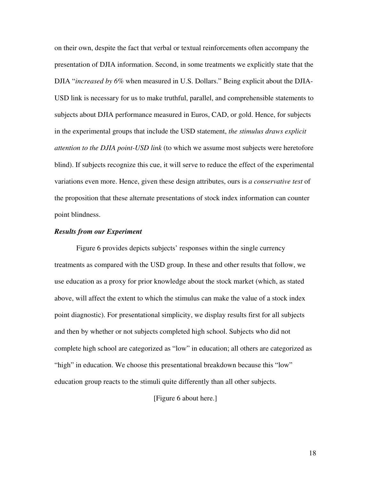on their own, despite the fact that verbal or textual reinforcements often accompany the presentation of DJIA information. Second, in some treatments we explicitly state that the DJIA "*increased by 6%* when measured in U.S. Dollars." Being explicit about the DJIA-USD link is necessary for us to make truthful, parallel, and comprehensible statements to subjects about DJIA performance measured in Euros, CAD, or gold. Hence, for subjects in the experimental groups that include the USD statement, *the stimulus draws explicit attention to the DJIA point-USD link* (to which we assume most subjects were heretofore blind). If subjects recognize this cue, it will serve to reduce the effect of the experimental variations even more. Hence, given these design attributes, ours is *a conservative test* of the proposition that these alternate presentations of stock index information can counter point blindness.

## *Results from our Experiment*

Figure 6 provides depicts subjects' responses within the single currency treatments as compared with the USD group. In these and other results that follow, we use education as a proxy for prior knowledge about the stock market (which, as stated above, will affect the extent to which the stimulus can make the value of a stock index point diagnostic). For presentational simplicity, we display results first for all subjects and then by whether or not subjects completed high school. Subjects who did not complete high school are categorized as "low" in education; all others are categorized as "high" in education. We choose this presentational breakdown because this "low" education group reacts to the stimuli quite differently than all other subjects.

[Figure 6 about here.]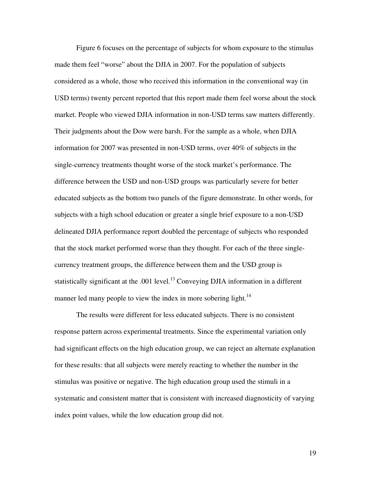Figure 6 focuses on the percentage of subjects for whom exposure to the stimulus made them feel "worse" about the DJIA in 2007. For the population of subjects considered as a whole, those who received this information in the conventional way (in USD terms) twenty percent reported that this report made them feel worse about the stock market. People who viewed DJIA information in non-USD terms saw matters differently. Their judgments about the Dow were harsh. For the sample as a whole, when DJIA information for 2007 was presented in non-USD terms, over 40% of subjects in the single-currency treatments thought worse of the stock market's performance. The difference between the USD and non-USD groups was particularly severe for better educated subjects as the bottom two panels of the figure demonstrate. In other words, for subjects with a high school education or greater a single brief exposure to a non-USD delineated DJIA performance report doubled the percentage of subjects who responded that the stock market performed worse than they thought. For each of the three singlecurrency treatment groups, the difference between them and the USD group is statistically significant at the .001 level.<sup>13</sup> Conveying DJIA information in a different manner led many people to view the index in more sobering light.<sup>14</sup>

The results were different for less educated subjects. There is no consistent response pattern across experimental treatments. Since the experimental variation only had significant effects on the high education group, we can reject an alternate explanation for these results: that all subjects were merely reacting to whether the number in the stimulus was positive or negative. The high education group used the stimuli in a systematic and consistent matter that is consistent with increased diagnosticity of varying index point values, while the low education group did not.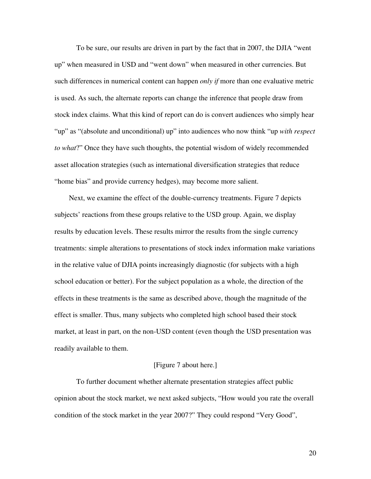To be sure, our results are driven in part by the fact that in 2007, the DJIA "went up" when measured in USD and "went down" when measured in other currencies. But such differences in numerical content can happen *only if* more than one evaluative metric is used. As such, the alternate reports can change the inference that people draw from stock index claims. What this kind of report can do is convert audiences who simply hear "up" as "(absolute and unconditional) up" into audiences who now think "up *with respect to what*?" Once they have such thoughts, the potential wisdom of widely recommended asset allocation strategies (such as international diversification strategies that reduce "home bias" and provide currency hedges), may become more salient.

 Next, we examine the effect of the double-currency treatments. Figure 7 depicts subjects' reactions from these groups relative to the USD group. Again, we display results by education levels. These results mirror the results from the single currency treatments: simple alterations to presentations of stock index information make variations in the relative value of DJIA points increasingly diagnostic (for subjects with a high school education or better). For the subject population as a whole, the direction of the effects in these treatments is the same as described above, though the magnitude of the effect is smaller. Thus, many subjects who completed high school based their stock market, at least in part, on the non-USD content (even though the USD presentation was readily available to them.

#### [Figure 7 about here.]

 To further document whether alternate presentation strategies affect public opinion about the stock market, we next asked subjects, "How would you rate the overall condition of the stock market in the year 2007?" They could respond "Very Good",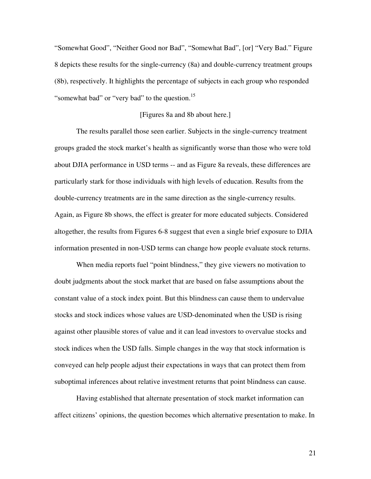"Somewhat Good", "Neither Good nor Bad", "Somewhat Bad", [or] "Very Bad." Figure 8 depicts these results for the single-currency (8a) and double-currency treatment groups (8b), respectively. It highlights the percentage of subjects in each group who responded "somewhat bad" or "very bad" to the question.<sup>15</sup>

## [Figures 8a and 8b about here.]

The results parallel those seen earlier. Subjects in the single-currency treatment groups graded the stock market's health as significantly worse than those who were told about DJIA performance in USD terms -- and as Figure 8a reveals, these differences are particularly stark for those individuals with high levels of education. Results from the double-currency treatments are in the same direction as the single-currency results. Again, as Figure 8b shows, the effect is greater for more educated subjects. Considered altogether, the results from Figures 6-8 suggest that even a single brief exposure to DJIA information presented in non-USD terms can change how people evaluate stock returns.

When media reports fuel "point blindness," they give viewers no motivation to doubt judgments about the stock market that are based on false assumptions about the constant value of a stock index point. But this blindness can cause them to undervalue stocks and stock indices whose values are USD-denominated when the USD is rising against other plausible stores of value and it can lead investors to overvalue stocks and stock indices when the USD falls. Simple changes in the way that stock information is conveyed can help people adjust their expectations in ways that can protect them from suboptimal inferences about relative investment returns that point blindness can cause.

Having established that alternate presentation of stock market information can affect citizens' opinions, the question becomes which alternative presentation to make. In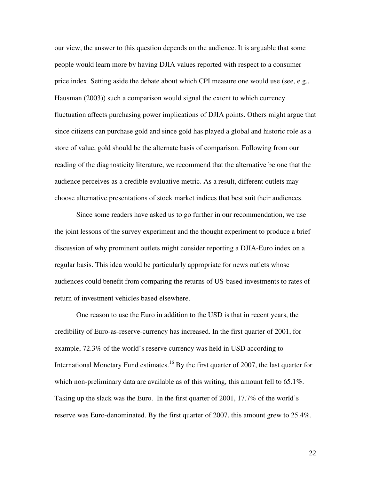our view, the answer to this question depends on the audience. It is arguable that some people would learn more by having DJIA values reported with respect to a consumer price index. Setting aside the debate about which CPI measure one would use (see, e.g., Hausman (2003)) such a comparison would signal the extent to which currency fluctuation affects purchasing power implications of DJIA points. Others might argue that since citizens can purchase gold and since gold has played a global and historic role as a store of value, gold should be the alternate basis of comparison. Following from our reading of the diagnosticity literature, we recommend that the alternative be one that the audience perceives as a credible evaluative metric. As a result, different outlets may choose alternative presentations of stock market indices that best suit their audiences.

Since some readers have asked us to go further in our recommendation, we use the joint lessons of the survey experiment and the thought experiment to produce a brief discussion of why prominent outlets might consider reporting a DJIA-Euro index on a regular basis. This idea would be particularly appropriate for news outlets whose audiences could benefit from comparing the returns of US-based investments to rates of return of investment vehicles based elsewhere.

One reason to use the Euro in addition to the USD is that in recent years, the credibility of Euro-as-reserve-currency has increased. In the first quarter of 2001, for example, 72.3% of the world's reserve currency was held in USD according to International Monetary Fund estimates.<sup>16</sup> By the first quarter of 2007, the last quarter for which non-preliminary data are available as of this writing, this amount fell to 65.1%. Taking up the slack was the Euro. In the first quarter of 2001, 17.7% of the world's reserve was Euro-denominated. By the first quarter of 2007, this amount grew to 25.4%.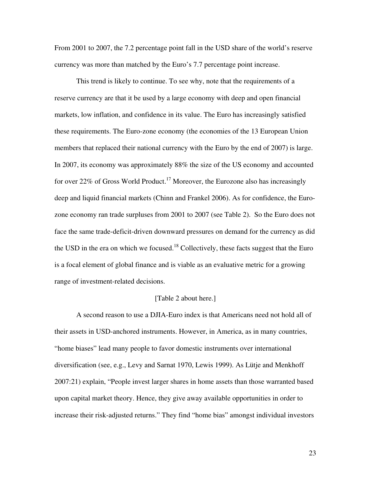From 2001 to 2007, the 7.2 percentage point fall in the USD share of the world's reserve currency was more than matched by the Euro's 7.7 percentage point increase.

This trend is likely to continue. To see why, note that the requirements of a reserve currency are that it be used by a large economy with deep and open financial markets, low inflation, and confidence in its value. The Euro has increasingly satisfied these requirements. The Euro-zone economy (the economies of the 13 European Union members that replaced their national currency with the Euro by the end of 2007) is large. In 2007, its economy was approximately 88% the size of the US economy and accounted for over 22% of Gross World Product.<sup>17</sup> Moreover, the Eurozone also has increasingly deep and liquid financial markets (Chinn and Frankel 2006). As for confidence, the Eurozone economy ran trade surpluses from 2001 to 2007 (see Table 2). So the Euro does not face the same trade-deficit-driven downward pressures on demand for the currency as did the USD in the era on which we focused.<sup>18</sup> Collectively, these facts suggest that the Euro is a focal element of global finance and is viable as an evaluative metric for a growing range of investment-related decisions.

#### [Table 2 about here.]

A second reason to use a DJIA-Euro index is that Americans need not hold all of their assets in USD-anchored instruments. However, in America, as in many countries, "home biases" lead many people to favor domestic instruments over international diversification (see, e.g., Levy and Sarnat 1970, Lewis 1999). As Lütje and Menkhoff 2007:21) explain, "People invest larger shares in home assets than those warranted based upon capital market theory. Hence, they give away available opportunities in order to increase their risk-adjusted returns." They find "home bias" amongst individual investors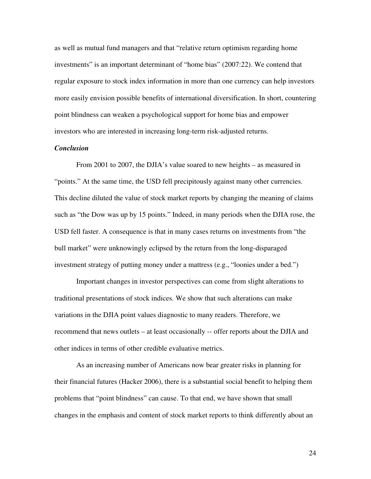as well as mutual fund managers and that "relative return optimism regarding home investments" is an important determinant of "home bias" (2007:22). We contend that regular exposure to stock index information in more than one currency can help investors more easily envision possible benefits of international diversification. In short, countering point blindness can weaken a psychological support for home bias and empower investors who are interested in increasing long-term risk-adjusted returns.

## *Conclusion*

From 2001 to 2007, the DJIA's value soared to new heights – as measured in "points." At the same time, the USD fell precipitously against many other currencies. This decline diluted the value of stock market reports by changing the meaning of claims such as "the Dow was up by 15 points." Indeed, in many periods when the DJIA rose, the USD fell faster. A consequence is that in many cases returns on investments from "the bull market" were unknowingly eclipsed by the return from the long-disparaged investment strategy of putting money under a mattress (e.g., "loonies under a bed.")

Important changes in investor perspectives can come from slight alterations to traditional presentations of stock indices. We show that such alterations can make variations in the DJIA point values diagnostic to many readers. Therefore, we recommend that news outlets – at least occasionally -- offer reports about the DJIA and other indices in terms of other credible evaluative metrics.

As an increasing number of Americans now bear greater risks in planning for their financial futures (Hacker 2006), there is a substantial social benefit to helping them problems that "point blindness" can cause. To that end, we have shown that small changes in the emphasis and content of stock market reports to think differently about an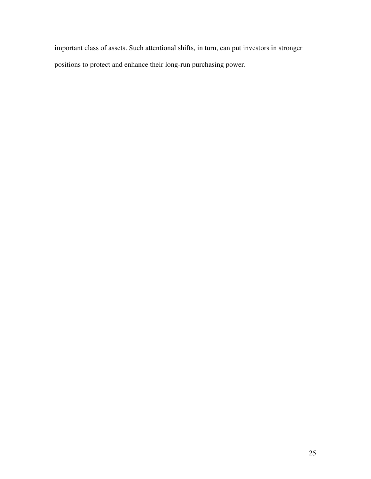important class of assets. Such attentional shifts, in turn, can put investors in stronger positions to protect and enhance their long-run purchasing power.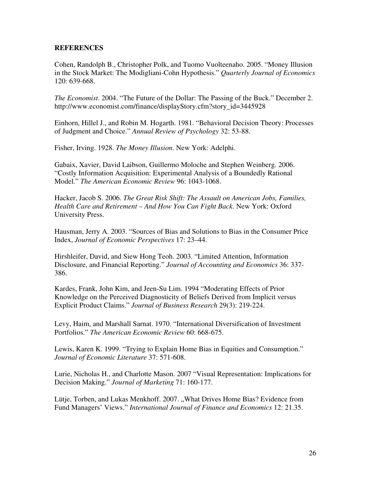# **REFERENCES**

Cohen, Randolph B., Christopher Polk, and Tuomo Vuolteenaho. 2005. "Money Illusion in the Stock Market: The Modigliani-Cohn Hypothesis." *Quarterly Journal of Economics*  120: 639-668.

*The Economist*. 2004. "The Future of the Dollar: The Passing of the Buck." December 2. http://www.economist.com/finance/displayStory.cfm?story\_id=3445928

Einhorn, Hillel J., and Robin M. Hogarth. 1981. "Behavioral Decision Theory: Processes of Judgment and Choice." *Annual Review of Psychology* 32: 53-88.

Fisher, Irving. 1928. *The Money Illusion*. New York: Adelphi.

Gabaix, Xavier, David Laibson, Guillermo Moloche and Stephen Weinberg. 2006. "Costly Information Acquisition: Experimental Analysis of a Boundedly Rational Model." *The American Economic Review* 96: 1043-1068.

Hacker, Jacob S. 2006. *The Great Risk Shift: The Assault on American Jobs, Families, Health Care and Retirement – And How You Can Fight Back*. New York: Oxford University Press.

Hausman, Jerry A. 2003. "Sources of Bias and Solutions to Bias in the Consumer Price Index, *Journal of Economic Perspectives* 17: 23–44.

Hirshleifer, David, and Siew Hong Teoh. 2003. "Limited Attention, Information Disclosure, and Financial Reporting." *Journal of Accounting and Economics* 36: 337- 386.

Kardes, Frank, John Kim, and Jeen-Su Lim. 1994 "Moderating Effects of Prior Knowledge on the Perceived Diagnosticity of Beliefs Derived from Implicit versus Explicit Product Claims." *Journal of Business Research* 29(3): 219-224.

Levy, Haim, and Marshall Sarnat. 1970. "International Diversification of Investment Portfolios." *The American Economic Review* 60: 668-675.

Lewis, Karen K. 1999. "Trying to Explain Home Bias in Equities and Consumption." *Journal of Economic Literature* 37: 571-608.

Lurie, Nicholas H., and Charlotte Mason. 2007 "Visual Representation: Implications for Decision Making." *Journal of Marketing* 71: 160-177.

Lütje, Torben, and Lukas Menkhoff. 2007. "What Drives Home Bias? Evidence from Fund Managers' Views." *International Journal of Finance and Economics* 12: 21.35.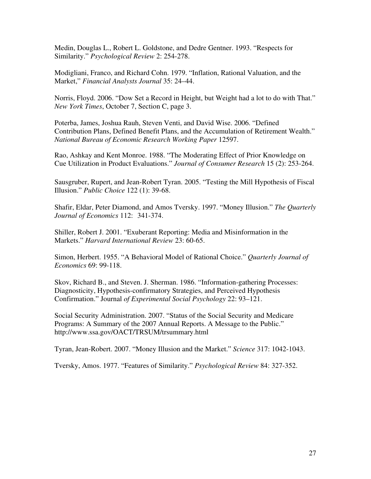Medin, Douglas L., Robert L. Goldstone, and Dedre Gentner. 1993. "Respects for Similarity." *Psychological Review* 2: 254-278.

Modigliani, Franco, and Richard Cohn. 1979. "Inflation, Rational Valuation, and the Market," *Financial Analysts Journal* 35: 24–44.

Norris, Floyd. 2006. "Dow Set a Record in Height, but Weight had a lot to do with That." *New York Times*, October 7, Section C, page 3.

Poterba, James, Joshua Rauh, Steven Venti, and David Wise. 2006. "Defined Contribution Plans, Defined Benefit Plans, and the Accumulation of Retirement Wealth." *National Bureau of Economic Research Working Paper* 12597.

Rao, Ashkay and Kent Monroe. 1988. "The Moderating Effect of Prior Knowledge on Cue Utilization in Product Evaluations." *Journal of Consumer Research* 15 (2): 253-264.

Sausgruber, Rupert, and Jean-Robert Tyran. 2005. "Testing the Mill Hypothesis of Fiscal Illusion." *Public Choice* 122 (1): 39-68.

Shafir, Eldar, Peter Diamond, and Amos Tversky. 1997. "Money Illusion." *The Quarterly Journal of Economics* 112: 341-374.

Shiller, Robert J. 2001. "Exuberant Reporting: Media and Misinformation in the Markets." *Harvard International Review* 23: 60-65.

Simon, Herbert. 1955. "A Behavioral Model of Rational Choice." *Quarterly Journal of Economics* 69: 99-118.

Skov, Richard B., and Steven. J. Sherman. 1986. "Information-gathering Processes: Diagnosticity, Hypothesis-confirmatory Strategies, and Perceived Hypothesis Confirmation." Journal *of Experimental Social Psychology* 22: 93–121.

Social Security Administration. 2007. "Status of the Social Security and Medicare Programs: A Summary of the 2007 Annual Reports. A Message to the Public." http://www.ssa.gov/OACT/TRSUM/trsummary.html

Tyran, Jean-Robert. 2007. "Money Illusion and the Market." *Science* 317: 1042-1043.

Tversky, Amos. 1977. "Features of Similarity." *Psychological Review* 84: 327-352.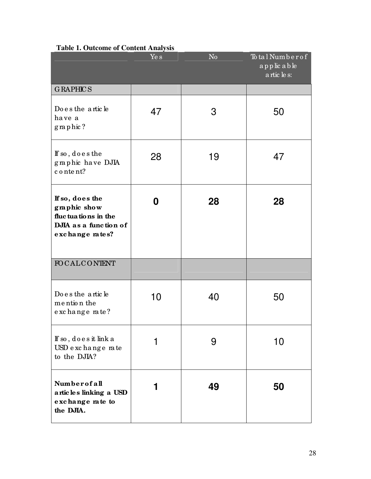|                                                                                                    | Ye s | N <sub>0</sub> | Total Number of<br>applicable<br>a rtic le s: |  |
|----------------------------------------------------------------------------------------------------|------|----------------|-----------------------------------------------|--|
| <b>GRAPHICS</b>                                                                                    |      |                |                                               |  |
| Do e s the article<br>have a<br>graphic?                                                           | 47   | 3              | 50                                            |  |
| If so, does the<br>graphic have DJIA<br>content?                                                   | 28   | 19             | 47                                            |  |
| If so, does the<br>graphic show<br>fluctuations in the<br>DJIA as a function of<br>exchange rates? | 0    | 28             | 28                                            |  |
| FOCALCONTENT                                                                                       |      |                |                                               |  |
| Do e s the article<br>mention the<br>exchange rate?                                                | 10   | 40             | 50                                            |  |
| If so, does it link a<br>USD exchange rate<br>to the DJIA?                                         |      | 9              | 10                                            |  |
| Numberofall<br>articles linking a USD<br>exchange rate to<br>the DJIA.                             |      | 49             | 50                                            |  |

# **Table 1. Outcome of Content Analysis**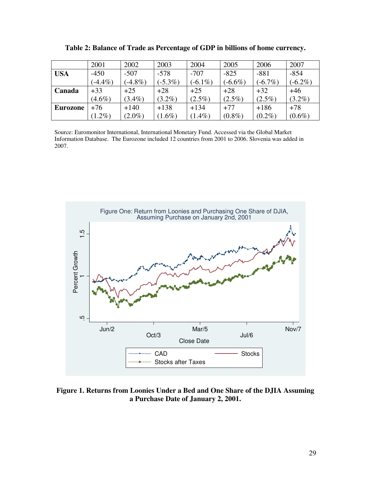|            | 2001       | 2002       | 2003       | 2004       | 2005       | 2006       | 2007       |
|------------|------------|------------|------------|------------|------------|------------|------------|
| <b>USA</b> | $-450$     | $-507$     | $-578$     | $-707$     | $-825$     | $-881$     | $-854$     |
|            | $(-4.4\%)$ | $(-4.8\%)$ | $(-5.3\%)$ | $(-6.1\%)$ | $(-6.6\%)$ | $(-6.7\%)$ | $(-6.2\%)$ |
| Canada     | $+33$      | $+25$      | $+28$      | $+25$      | $+28$      | $+32$      | $+46$      |
|            | $(4.6\%)$  | $(3.4\%)$  | $(3.2\%)$  | $(2.5\%)$  | $(2.5\%)$  | $(2.5\%)$  | $(3.2\%)$  |
| Eurozone   | $+76$      | $+140$     | $+138$     | $+134$     | $+77$      | $+186$     | $+78$      |
|            | $(1.2\%)$  | $(2.0\%)$  | $(1.6\%)$  | $(1.4\%)$  | $(0.8\%)$  | $(0.2\%)$  | $(0.6\%)$  |

**Table 2: Balance of Trade as Percentage of GDP in billions of home currency.** 

Source: Euromonitor International, International Monetary Fund. Accessed via the Global Market Information Database. The Eurozone included 12 countries from 2001 to 2006. Slovenia was added in 2007.



**Figure 1. Returns from Loonies Under a Bed and One Share of the DJIA Assuming a Purchase Date of January 2, 2001.**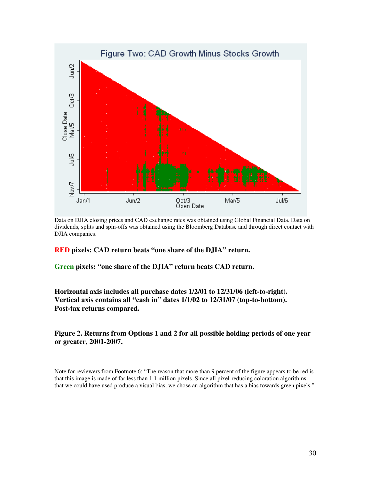

Data on DJIA closing prices and CAD exchange rates was obtained using Global Financial Data. Data on dividends, splits and spin-offs was obtained using the Bloomberg Database and through direct contact with DJIA companies.

## **RED pixels: CAD return beats "one share of the DJIA" return.**

**Green pixels: "one share of the DJIA" return beats CAD return.** 

**Horizontal axis includes all purchase dates 1/2/01 to 12/31/06 (left-to-right). Vertical axis contains all "cash in" dates 1/1/02 to 12/31/07 (top-to-bottom). Post-tax returns compared.** 

**Figure 2. Returns from Options 1 and 2 for all possible holding periods of one year or greater, 2001-2007.** 

Note for reviewers from Footnote 6: "The reason that more than 9 percent of the figure appears to be red is that this image is made of far less than 1.1 million pixels. Since all pixel-reducing coloration algorithms that we could have used produce a visual bias, we chose an algorithm that has a bias towards green pixels."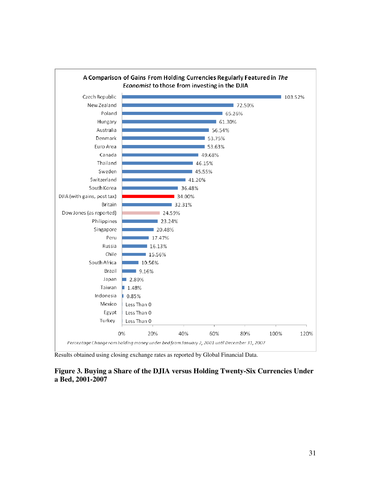

Results obtained using closing exchange rates as reported by Global Financial Data.

# **Figure 3. Buying a Share of the DJIA versus Holding Twenty-Six Currencies Under a Bed, 2001-2007**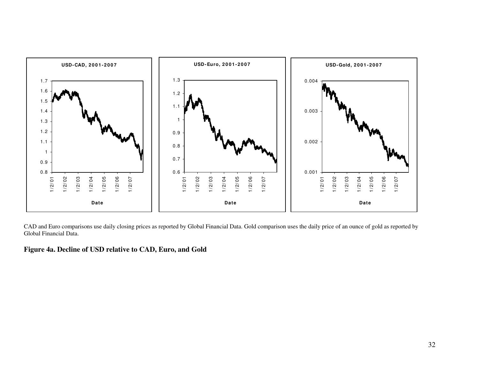

CAD and Euro comparisons use daily closing prices as reported by Global Financial Data. Gold comparison uses the daily price of an ounce of gold as reported by Global Financial Data.

**Figure 4a. Decline of USD relative to CAD, Euro, and Gold**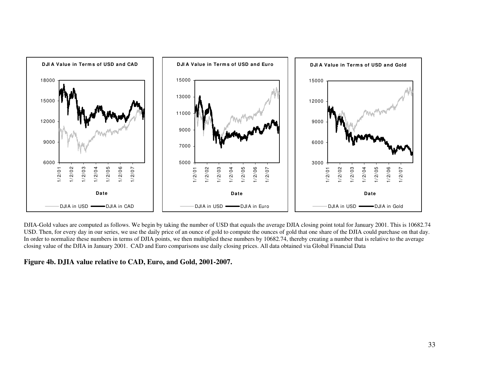

DJIA-Gold values are computed as follows. We begin by taking the number of USD that equals the average DJIA closing point total for January 2001. This is 10682.74 USD. Then, for every day in our series, we use the daily price of an ounce of gold to compute the ounces of gold that one share of the DJIA could purchase on that day. In order to normalize these numbers in terms of DJIA points, we then multiplied these numbers by 10682.74, thereby creating a number that is relative to the average closing value of the DJIA in January 2001. CAD and Euro comparisons use daily closing prices. All data obtained via Global Financial Data

**Figure 4b. DJIA value relative to CAD, Euro, and Gold, 2001-2007.**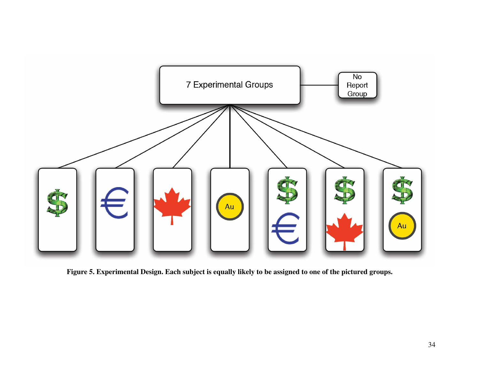

**Figure 5. Experimental Design. Each subject is equally likely to be assigned to one of the pictured groups.**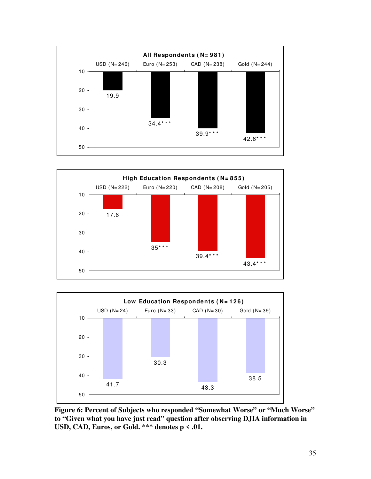





**Figure 6: Percent of Subjects who responded "Somewhat Worse" or "Much Worse" to "Given what you have just read" question after observing DJIA information in USD, CAD, Euros, or Gold. \*\*\* denotes p < .01.**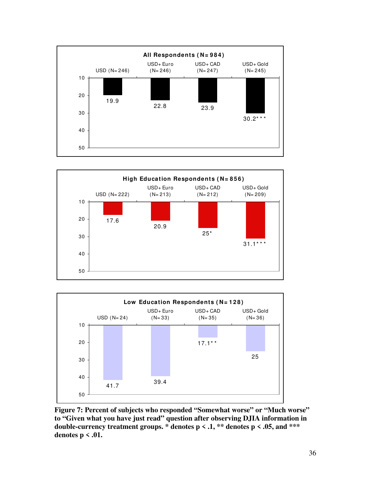





**Figure 7: Percent of subjects who responded "Somewhat worse" or "Much worse" to "Given what you have just read" question after observing DJIA information in**  double-currency treatment groups.  $*$  denotes  $p \le 0.1$ ,  $**$  denotes  $p \le 0.05$ , and  $***$ **denotes p < .01.**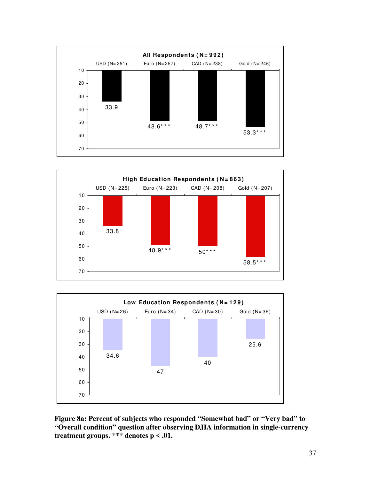





**Figure 8a: Percent of subjects who responded "Somewhat bad" or "Very bad" to "Overall condition" question after observing DJIA information in single-currency treatment groups. \*\*\* denotes p < .01.**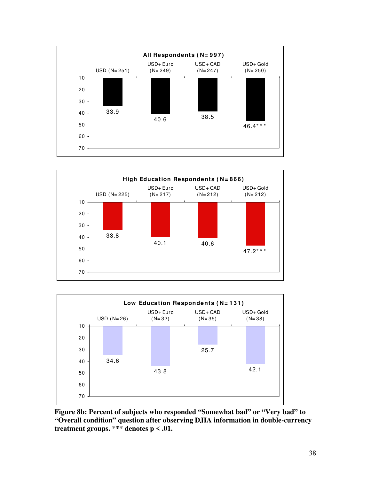





**Figure 8b: Percent of subjects who responded "Somewhat bad" or "Very bad" to "Overall condition" question after observing DJIA information in double-currency treatment groups. \*\*\* denotes p < .01.**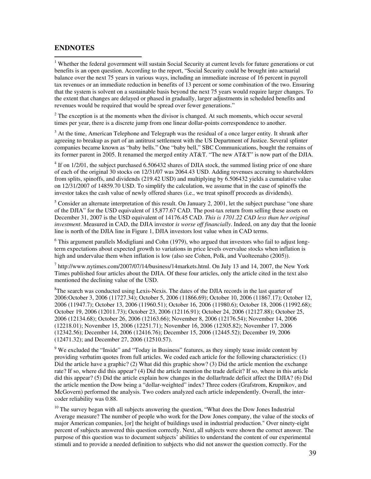# **ENDNOTES**

 1 Whether the federal government will sustain Social Security at current levels for future generations or cut benefits is an open question. According to the report, "Social Security could be brought into actuarial balance over the next 75 years in various ways, including an immediate increase of 16 percent in payroll tax revenues or an immediate reduction in benefits of 13 percent or some combination of the two. Ensuring that the system is solvent on a sustainable basis beyond the next 75 years would require larger changes. To the extent that changes are delayed or phased in gradually, larger adjustments in scheduled benefits and revenues would be required that would be spread over fewer generations."

 $2^2$  The exception is at the moments when the divisor is changed. At such moments, which occur several times per year, there is a discrete jump from one linear dollar-points correspondence to another.

 $3$  At the time, American Telephone and Telegraph was the residual of a once larger entity. It shrank after agreeing to breakup as part of an antitrust settlement with the US Department of Justice. Several splinter companies became known as "baby bells." One "baby bell," SBC Communications, bought the remains of its former parent in 2005. It renamed the merged entity AT&T. "The new AT&T" is now part of the DJIA.

 $4$  If on 1/2/01, the subject purchased 6.506432 shares of DJIA stock, the summed listing price of one share of each of the original 30 stocks on 12/31/07 was 2064.43 USD. Adding revenues accruing to shareholders from splits, spinoffs, and dividends (219.42 USD) and multiplying by 6.506432 yields a cumulative value on 12/31/2007 of 14859.70 USD. To simplify the calculation, we assume that in the case of spinoffs the investor takes the cash value of newly offered shares (i.e., we treat spinoff proceeds as dividends).

 $<sup>5</sup>$  Consider an alternate interpretation of this result. On January 2, 2001, let the subject purchase "one share</sup> of the DJIA" for the USD equivalent of 15,877.67 CAD. The post-tax return from selling these assets on December 31, 2007 is the USD equivalent of 14176.45 CAD. *This is 1701.22 CAD less than her original investment*. Measured in CAD, the DJIA investor *is worse off financially*. Indeed, on any day that the loonie line is north of the DJIA line in Figure 1, DJIA investors lost value when in CAD terms.

<sup>6</sup> This argument parallels Modigliani and Cohn (1979), who argued that investors who fail to adjust longterm expectations about expected growth to variations in price levels overvalue stocks when inflation is high and undervalue them when inflation is low (also see Cohen, Polk, and Vuolteenaho (2005)).

 $^7$  http://www.nytimes.com/2007/07/14/business/14markets.html. On July 13 and 14, 2007, the New York Times published four articles about the DJIA. Of these four articles, only the article cited in the text also mentioned the declining value of the USD.

<sup>8</sup>The search was conducted using Lexis-Nexis. The dates of the DJIA records in the last quarter of 2006:October 3, 2006 (11727.34); October 5, 2006 (11866.69); October 10, 2006 (11867.17); October 12, 2006 (11947.7); October 13, 2006 (11960.51); October 16, 2006 (11980.6); October 18, 2006 (11992.68); October 19, 2006 (12011.73); October 23, 2006 (12116.91); October 24, 2006 (12127.88); October 25, 2006 (12134.68); October 26, 2006 (12163.66); November 8, 2006 (12176.54); November 14, 2006 (12218.01); November 15, 2006 (12251.71); November 16, 2006 (12305.82); November 17, 2006 (12342.56); December 14, 2006 (12416.76); December 15, 2006 (12445.52); December 19, 2006 (12471.32); and December 27, 2006 (12510.57).

 $9$  We excluded the "Inside" and "Today in Business" features, as they simply tease inside content by providing verbatim quotes from full articles. We coded each article for the following characteristics: (1) Did the article have a graphic? (2) What did this graphic show? (3) Did the article mention the exchange rate? If so, where did this appear? (4) Did the article mention the trade deficit? If so, where in this article did this appear? (5) Did the article explain how changes in the dollar/trade deficit affect the DJIA? (6) Did the article mention the Dow being a "dollar-weighted" index? Three coders (Grafstrom, Krupnikov, and McGovern) performed the analysis. Two coders analyzed each article independently. Overall, the intercoder reliability was 0.88.

<sup>10</sup> The survey began with all subjects answering the question, "What does the Dow Jones Industrial Average measure? The number of people who work for the Dow Jones company, the value of the stocks of major American companies, [or] the height of buildings used in industrial production." Over ninety-eight percent of subjects answered this question correctly. Next, all subjects were shown the correct answer. The purpose of this question was to document subjects' abilities to understand the content of our experimental stimuli and to provide a needed definition to subjects who did not answer the question correctly. For the